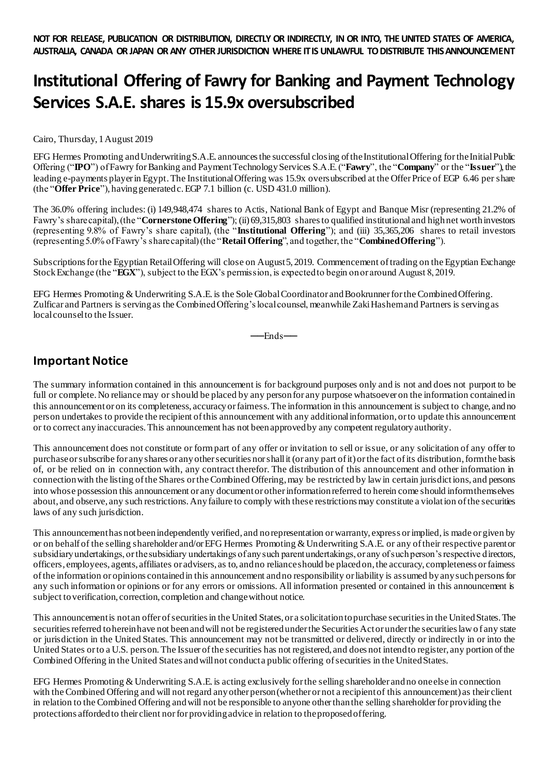## **Institutional Offering of Fawry for Banking and Payment Technology Services S.A.E. shares is 15.9x oversubscribed**

Cairo, Thursday, 1August 2019

EFG Hermes Promoting and Underwriting S.A.E. announces the successful closing of the Institutional Offering for the Initial Public Offering ("**IPO**") of Fawry for Banking and Payment Technology Services S.A.E. ("**Fawry**", the "**Company**" or the "**Issuer**"), the leading e-payments player in Egypt.The Institutional Offering was 15.9x oversubscribed at the Offer Price of EGP 6.46 per share (the "**Offer Price**"), having generated c. EGP 7.1 billion (c. USD 431.0 million).

The 36.0% offering includes: (i) 149,948,474 shares to Actis, National Bank of Egypt and Banque Misr (representing 21.2% of Fawry's share capital), (the "**Cornerstone Offering**"); (ii) 69,315,803 shares to qualified institutional and high net worth investors (representing 9.8% of Fawry's share capital), (the "**Institutional Offering**"); and (iii) 35,365,206 shares to retail investors (representing 5.0% of Fawry's share capital) (the "**Retail Offering**", and together, the "**Combined Offering**").

Subscriptions for the Egyptian Retail Offering will close on August 5, 2019. Commencement of trading on the Egyptian Exchange Stock Exchange (the "**EGX**"), subject to the EGX's permission, is expected to begin on or around August 8, 2019.

EFG Hermes Promoting & Underwriting S.A.E. is the Sole Global Coordinator and Bookrunner for the Combined Offering. Zulficar and Partners is serving as the Combined Offering's local counsel, meanwhile Zaki Hashem and Partners is serving as local counsel to the Issuer.

──Ends──

## **Important Notice**

The summary information contained in this announcement is for background purposes only and is not and does not purport to be full or complete. No reliance may or should be placed by any person for any purpose whatsoever on the information contained in this announcement or on its completeness, accuracy or fairness. The information in this announcement is subject to change, and no person undertakes to provide the recipient of this announcement with any additional information, or to update this announcement or to correct any inaccuracies. This announcement has not been approved by any competent regulatory authority.

This announcement does not constitute or form part of any offer or invitation to sell or issue, or any solicitation of any offer to purchase or subscribe for any shares or any other securities nor shall it (or any part of it) or the fact of its distribution, form the basis of, or be relied on in connection with, any contract therefor. The distribution of this announcement and other information in connection with the listing of the Shares or the Combined Offering, may be restricted by law in certain jurisdictions, and persons into whose possession this announcement or any document or other information referred to herein come should inform themselves about, and observe, any such restrictions. Any failure to comply with these restrictions may constitute a violation of the securities laws of any such jurisdiction.

This announcement has not been independently verified, and no representation or warranty, express or implied, is made or given by or on behalf of the selling shareholder and/or EFG Hermes Promoting & Underwriting S.A.E. or any of their respective parent or subsidiary undertakings, or the subsidiary undertakings of any such parent undertakings, or any of such person's respective directors, officers, employees, agents, affiliates or advisers, as to, and no reliance should be placed on, the accuracy, completeness or fairness of the information or opinions contained in this announcement and no responsibility or liability is assumed by any such persons for any such information or opinions or for any errors or omissions. All information presented or contained in this announcement is subject to verification, correction, completion and change without notice.

This announcement is not an offer of securities in the United States, or a solicitation to purchase securities in the United States. The securities referred to herein have not been and will not be registered under the Securities Act or under the securities law o f any state or jurisdiction in the United States. This announcement may not be transmitted or delivered, directly or indirectly in or into the United States or to a U.S. person. The Issuer of the securities has not registered, and does not intend to register, any portion of the Combined Offering in the United States and will not conduct a public offering of securities in the United States.

EFG Hermes Promoting & Underwriting S.A.E. is acting exclusively for the selling shareholder and no one else in connection with the Combined Offering and will not regard any other person (whether or not a recipient of this announcement) as their client in relation to the Combined Offering and will not be responsible to anyone other than the selling shareholder for providing the protections afforded to their client nor for providing advice in relation to the proposed offering.